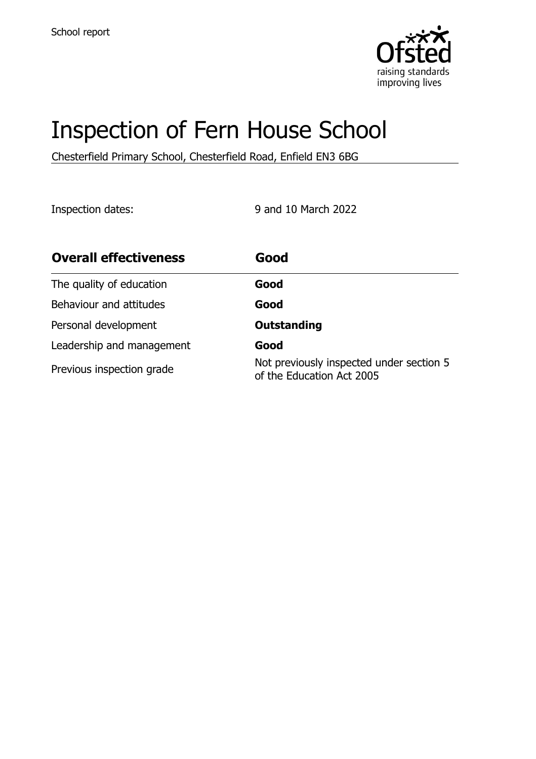

# Inspection of Fern House School

Chesterfield Primary School, Chesterfield Road, Enfield EN3 6BG

Inspection dates: 9 and 10 March 2022

| <b>Overall effectiveness</b> | Good                                                                  |
|------------------------------|-----------------------------------------------------------------------|
| The quality of education     | Good                                                                  |
| Behaviour and attitudes      | Good                                                                  |
| Personal development         | <b>Outstanding</b>                                                    |
| Leadership and management    | Good                                                                  |
| Previous inspection grade    | Not previously inspected under section 5<br>of the Education Act 2005 |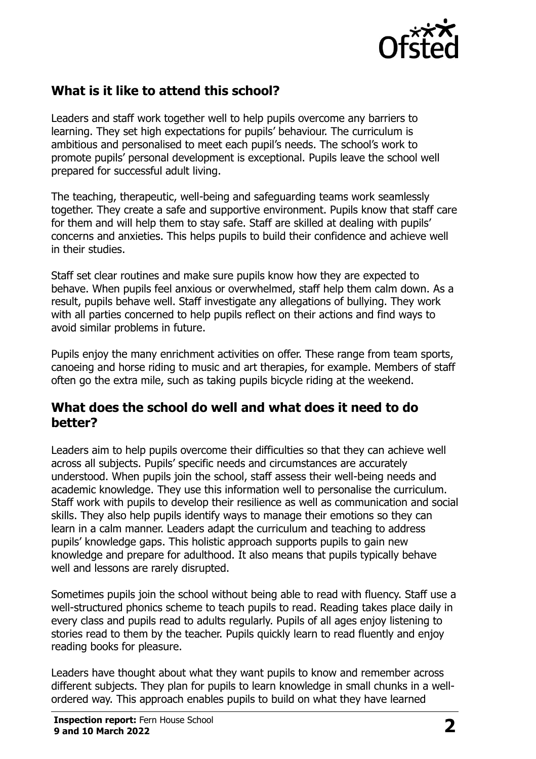

# **What is it like to attend this school?**

Leaders and staff work together well to help pupils overcome any barriers to learning. They set high expectations for pupils' behaviour. The curriculum is ambitious and personalised to meet each pupil's needs. The school's work to promote pupils' personal development is exceptional. Pupils leave the school well prepared for successful adult living.

The teaching, therapeutic, well-being and safeguarding teams work seamlessly together. They create a safe and supportive environment. Pupils know that staff care for them and will help them to stay safe. Staff are skilled at dealing with pupils' concerns and anxieties. This helps pupils to build their confidence and achieve well in their studies.

Staff set clear routines and make sure pupils know how they are expected to behave. When pupils feel anxious or overwhelmed, staff help them calm down. As a result, pupils behave well. Staff investigate any allegations of bullying. They work with all parties concerned to help pupils reflect on their actions and find ways to avoid similar problems in future.

Pupils enjoy the many enrichment activities on offer. These range from team sports, canoeing and horse riding to music and art therapies, for example. Members of staff often go the extra mile, such as taking pupils bicycle riding at the weekend.

#### **What does the school do well and what does it need to do better?**

Leaders aim to help pupils overcome their difficulties so that they can achieve well across all subjects. Pupils' specific needs and circumstances are accurately understood. When pupils join the school, staff assess their well-being needs and academic knowledge. They use this information well to personalise the curriculum. Staff work with pupils to develop their resilience as well as communication and social skills. They also help pupils identify ways to manage their emotions so they can learn in a calm manner. Leaders adapt the curriculum and teaching to address pupils' knowledge gaps. This holistic approach supports pupils to gain new knowledge and prepare for adulthood. It also means that pupils typically behave well and lessons are rarely disrupted.

Sometimes pupils join the school without being able to read with fluency. Staff use a well-structured phonics scheme to teach pupils to read. Reading takes place daily in every class and pupils read to adults regularly. Pupils of all ages enjoy listening to stories read to them by the teacher. Pupils quickly learn to read fluently and enjoy reading books for pleasure.

Leaders have thought about what they want pupils to know and remember across different subjects. They plan for pupils to learn knowledge in small chunks in a wellordered way. This approach enables pupils to build on what they have learned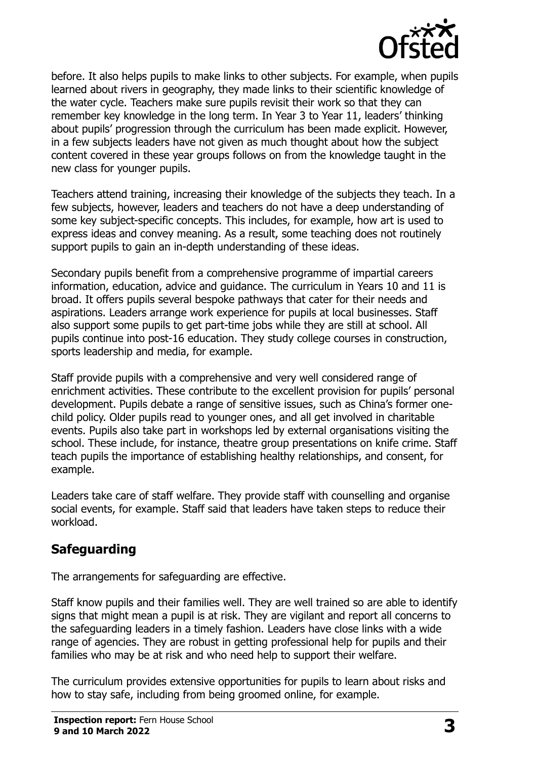

before. It also helps pupils to make links to other subjects. For example, when pupils learned about rivers in geography, they made links to their scientific knowledge of the water cycle. Teachers make sure pupils revisit their work so that they can remember key knowledge in the long term. In Year 3 to Year 11, leaders' thinking about pupils' progression through the curriculum has been made explicit. However, in a few subjects leaders have not given as much thought about how the subject content covered in these year groups follows on from the knowledge taught in the new class for younger pupils.

Teachers attend training, increasing their knowledge of the subjects they teach. In a few subjects, however, leaders and teachers do not have a deep understanding of some key subject-specific concepts. This includes, for example, how art is used to express ideas and convey meaning. As a result, some teaching does not routinely support pupils to gain an in-depth understanding of these ideas.

Secondary pupils benefit from a comprehensive programme of impartial careers information, education, advice and guidance. The curriculum in Years 10 and 11 is broad. It offers pupils several bespoke pathways that cater for their needs and aspirations. Leaders arrange work experience for pupils at local businesses. Staff also support some pupils to get part-time jobs while they are still at school. All pupils continue into post-16 education. They study college courses in construction, sports leadership and media, for example.

Staff provide pupils with a comprehensive and very well considered range of enrichment activities. These contribute to the excellent provision for pupils' personal development. Pupils debate a range of sensitive issues, such as China's former onechild policy. Older pupils read to younger ones, and all get involved in charitable events. Pupils also take part in workshops led by external organisations visiting the school. These include, for instance, theatre group presentations on knife crime. Staff teach pupils the importance of establishing healthy relationships, and consent, for example.

Leaders take care of staff welfare. They provide staff with counselling and organise social events, for example. Staff said that leaders have taken steps to reduce their workload.

# **Safeguarding**

The arrangements for safeguarding are effective.

Staff know pupils and their families well. They are well trained so are able to identify signs that might mean a pupil is at risk. They are vigilant and report all concerns to the safeguarding leaders in a timely fashion. Leaders have close links with a wide range of agencies. They are robust in getting professional help for pupils and their families who may be at risk and who need help to support their welfare.

The curriculum provides extensive opportunities for pupils to learn about risks and how to stay safe, including from being groomed online, for example.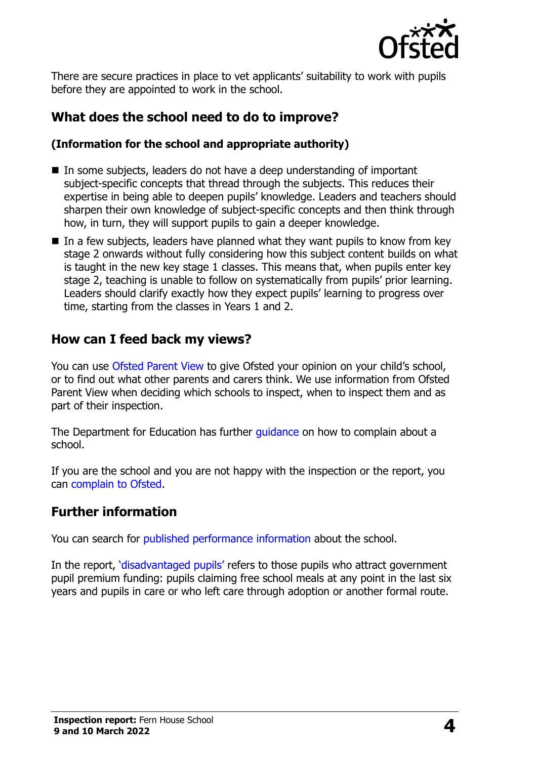

There are secure practices in place to vet applicants' suitability to work with pupils before they are appointed to work in the school.

# **What does the school need to do to improve?**

#### **(Information for the school and appropriate authority)**

- In some subjects, leaders do not have a deep understanding of important subject-specific concepts that thread through the subjects. This reduces their expertise in being able to deepen pupils' knowledge. Leaders and teachers should sharpen their own knowledge of subject-specific concepts and then think through how, in turn, they will support pupils to gain a deeper knowledge.
- $\blacksquare$  In a few subjects, leaders have planned what they want pupils to know from key stage 2 onwards without fully considering how this subject content builds on what is taught in the new key stage 1 classes. This means that, when pupils enter key stage 2, teaching is unable to follow on systematically from pupils' prior learning. Leaders should clarify exactly how they expect pupils' learning to progress over time, starting from the classes in Years 1 and 2.

### **How can I feed back my views?**

You can use [Ofsted Parent View](http://parentview.ofsted.gov.uk/) to give Ofsted your opinion on your child's school, or to find out what other parents and carers think. We use information from Ofsted Parent View when deciding which schools to inspect, when to inspect them and as part of their inspection.

The Department for Education has further *quidance* on how to complain about a school.

If you are the school and you are not happy with the inspection or the report, you can [complain to Ofsted.](http://www.gov.uk/complain-ofsted-report)

#### **Further information**

You can search for [published performance information](http://www.compare-school-performance.service.gov.uk/) about the school.

In the report, '[disadvantaged pupils](http://www.gov.uk/guidance/pupil-premium-information-for-schools-and-alternative-provision-settings)' refers to those pupils who attract government pupil premium funding: pupils claiming free school meals at any point in the last six years and pupils in care or who left care through adoption or another formal route.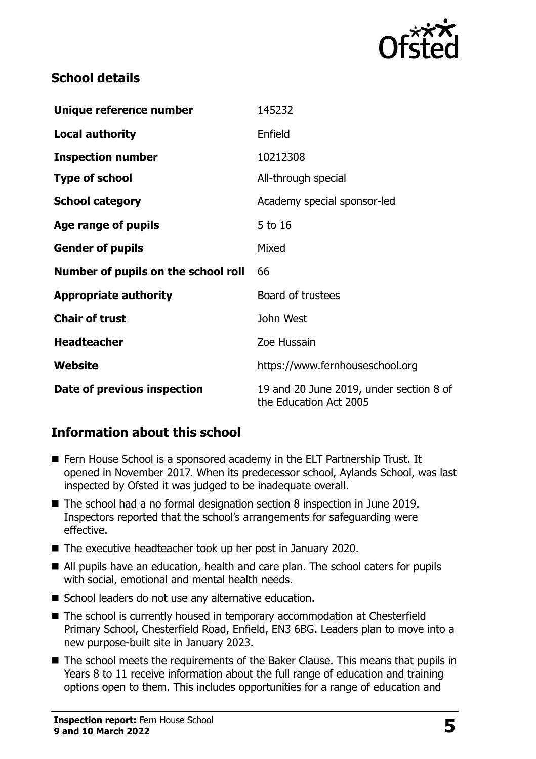

## **School details**

| Unique reference number             | 145232                                                            |
|-------------------------------------|-------------------------------------------------------------------|
| <b>Local authority</b>              | Enfield                                                           |
| <b>Inspection number</b>            | 10212308                                                          |
| <b>Type of school</b>               | All-through special                                               |
| <b>School category</b>              | Academy special sponsor-led                                       |
| Age range of pupils                 | 5 to 16                                                           |
| <b>Gender of pupils</b>             | Mixed                                                             |
| Number of pupils on the school roll | 66                                                                |
| <b>Appropriate authority</b>        | Board of trustees                                                 |
| <b>Chair of trust</b>               | John West                                                         |
| <b>Headteacher</b>                  | Zoe Hussain                                                       |
| Website                             | https://www.fernhouseschool.org                                   |
| Date of previous inspection         | 19 and 20 June 2019, under section 8 of<br>the Education Act 2005 |

## **Information about this school**

- Fern House School is a sponsored academy in the ELT Partnership Trust. It opened in November 2017. When its predecessor school, Aylands School, was last inspected by Ofsted it was judged to be inadequate overall.
- The school had a no formal designation section 8 inspection in June 2019. Inspectors reported that the school's arrangements for safeguarding were effective.
- The executive headteacher took up her post in January 2020.
- All pupils have an education, health and care plan. The school caters for pupils with social, emotional and mental health needs.
- School leaders do not use any alternative education.
- The school is currently housed in temporary accommodation at Chesterfield Primary School, Chesterfield Road, Enfield, EN3 6BG. Leaders plan to move into a new purpose-built site in January 2023.
- The school meets the requirements of the Baker Clause. This means that pupils in Years 8 to 11 receive information about the full range of education and training options open to them. This includes opportunities for a range of education and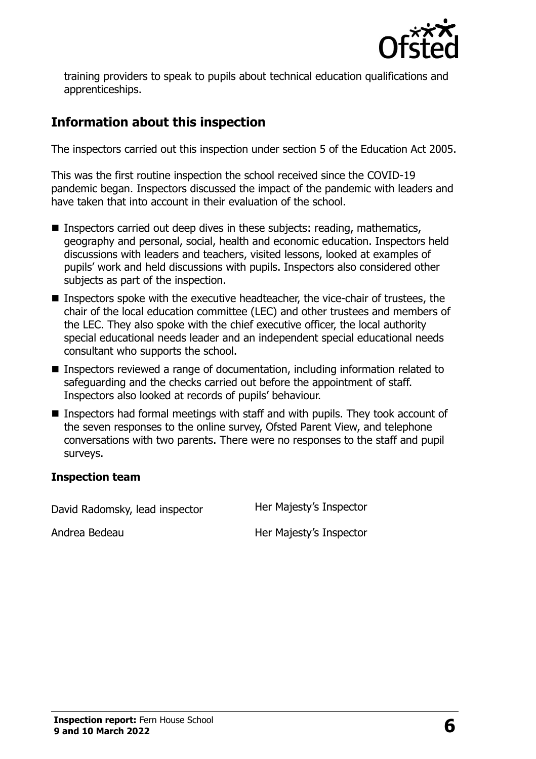

training providers to speak to pupils about technical education qualifications and apprenticeships.

# **Information about this inspection**

The inspectors carried out this inspection under section 5 of the Education Act 2005.

This was the first routine inspection the school received since the COVID-19 pandemic began. Inspectors discussed the impact of the pandemic with leaders and have taken that into account in their evaluation of the school.

- **Inspectors carried out deep dives in these subjects: reading, mathematics,** geography and personal, social, health and economic education. Inspectors held discussions with leaders and teachers, visited lessons, looked at examples of pupils' work and held discussions with pupils. Inspectors also considered other subjects as part of the inspection.
- Inspectors spoke with the executive headteacher, the vice-chair of trustees, the chair of the local education committee (LEC) and other trustees and members of the LEC. They also spoke with the chief executive officer, the local authority special educational needs leader and an independent special educational needs consultant who supports the school.
- Inspectors reviewed a range of documentation, including information related to safeguarding and the checks carried out before the appointment of staff. Inspectors also looked at records of pupils' behaviour.
- Inspectors had formal meetings with staff and with pupils. They took account of the seven responses to the online survey, Ofsted Parent View, and telephone conversations with two parents. There were no responses to the staff and pupil surveys.

#### **Inspection team**

David Radomsky, lead inspector Her Majesty's Inspector

Andrea Bedeau **Her Majesty's Inspector**